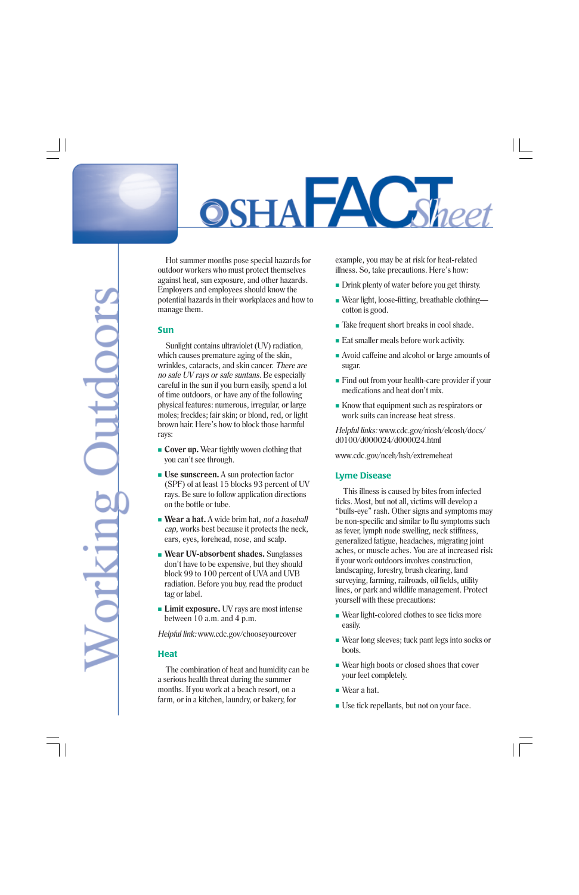# $OSHAFA$ **C**<br>Sheet

Hot summer months pose special hazards for outdoor workers who must protect themselves against heat, sun exposure, and other hazards. Employers and employees should know the potential hazards in their workplaces and how to manage them.

#### **Sun**

Sunlight contains ultraviolet (UV) radiation, which causes premature aging of the skin, wrinkles, cataracts, and skin cancer. There are no safe UV rays or safe suntans. Be especially careful in the sun if you burn easily, spend a lot of time outdoors, or have any of the following physical features: numerous, irregular, or large moles; freckles; fair skin; or blond, red, or light brown hair. Here's how to block those harmful rays:

- **Cover up.** Wear tightly woven clothing that you can't see through.
- **Use sunscreen.** A sun protection factor (SPF) of at least 15 blocks 93 percent of UV rays. Be sure to follow application directions on the bottle or tube.
- **Wear a hat.** A wide brim hat, *not a baseball* cap, works best because it protects the neck, ears, eyes, forehead, nose, and scalp.
- **Wear UV-absorbent shades.** Sunglasses don't have to be expensive, but they should block 99 to 100 percent of UVA and UVB radiation. Before you buy, read the product tag or label.
- **Limit exposure.** UV rays are most intense between 10 a.m. and 4 p.m.

Helpful link: www.cdc.gov/chooseyourcover

### **Heat**

The combination of heat and humidity can be a serious health threat during the summer months. If you work at a beach resort, on a farm, or in a kitchen, laundry, or bakery, for

example, you may be at risk for heat-related illness. So, take precautions. Here's how:

- Drink plenty of water before you get thirsty.
- Wear light, loose-fitting, breathable clothing cotton is good.
- Take frequent short breaks in cool shade.
- Eat smaller meals before work activity.
- Avoid caffeine and alcohol or large amounts of sugar.
- Find out from your health-care provider if your medications and heat don't mix.
- Know that equipment such as respirators or work suits can increase heat stress.

Helpful links: www.cdc.gov/niosh/elcosh/docs/ d0100/d000024/d000024.html

www.cdc.gov/nceh/hsb/extremeheat

### **Lyme Disease**

This illness is caused by bites from infected ticks. Most, but not all, victims will develop a "bulls-eye" rash. Other signs and symptoms may be non-specific and similar to flu symptoms such as fever, lymph node swelling, neck stiffness, generalized fatigue, headaches, migrating joint aches, or muscle aches. You are at increased risk if your work outdoors involves construction, landscaping, forestry, brush clearing, land surveying, farming, railroads, oil fields, utility lines, or park and wildlife management. Protect yourself with these precautions:

- Wear light-colored clothes to see ticks more easily.
- Wear long sleeves; tuck pant legs into socks or boots.
- Wear high boots or closed shoes that cover your feet completely.
- Wear a hat.
- Use tick repellants, but not on your face.